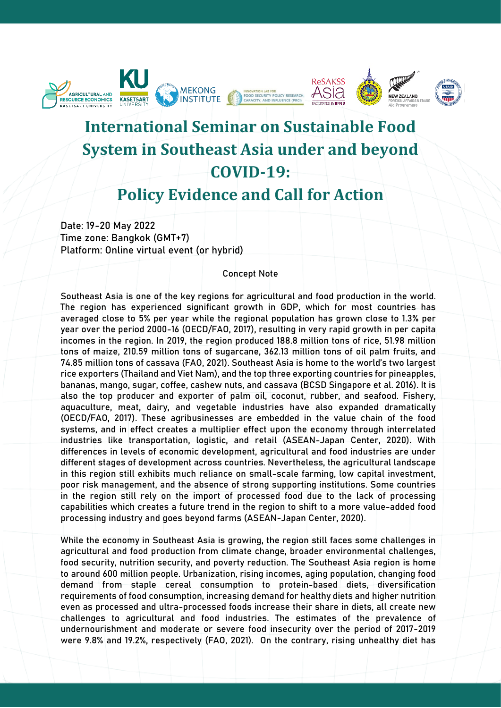

# **International Seminar on Sustainable Food System in Southeast Asia under and beyond COVID-19:**

# **Policy Evidence and Call for Action**

Date: 19-20 May 2022 Time zone: Bangkok (GMT+7) Platform: Online virtual event (or hybrid)

#### Concept Note

Southeast Asia is one of the key regions for agricultural and food production in the world. The region has experienced significant growth in GDP, which for most countries has averaged close to 5% per year while the regional population has grown close to 1.3% per year over the period 2000-16 (OECD/FAO, 2017), resulting in very rapid growth in per capita incomes in the region. In 2019, the region produced 188.8 million tons of rice, 51.98 million tons of maize, 210.59 million tons of sugarcane, 362.13 million tons of oil palm fruits, and 74.85 million tons of cassava (FAO, 2021). Southeast Asia is home to the world's two largest rice exporters (Thailand and Viet Nam), and the top three exporting countries for pineapples, bananas, mango, sugar, coffee, cashew nuts, and cassava (BCSD Singapore et al. 2016). It is also the top producer and exporter of palm oil, coconut, rubber, and seafood. Fishery, aquaculture, meat, dairy, and vegetable industries have also expanded dramatically (OECD/FAO, 2017). These agribusinesses are embedded in the value chain of the food systems, and in effect creates a multiplier effect upon the economy through interrelated industries like transportation, logistic, and retail (ASEAN-Japan Center, 2020). With differences in levels of economic development, agricultural and food industries are under different stages of development across countries. Nevertheless, the agricultural landscape in this region still exhibits much reliance on small-scale farming, low capital investment, poor risk management, and the absence of strong supporting institutions. Some countries in the region still rely on the import of processed food due to the lack of processing capabilities which creates a future trend in the region to shift to a more value-added food processing industry and goes beyond farms (ASEAN-Japan Center, 2020).

While the economy in Southeast Asia is growing, the region still faces some challenges in agricultural and food production from climate change, broader environmental challenges, food security, nutrition security, and poverty reduction. The Southeast Asia region is home to around 600 million people. Urbanization, rising incomes, aging population, changing food demand from staple cereal consumption to protein-based diets, diversification requirements of food consumption, increasing demand for healthy diets and higher nutrition even as processed and ultra-processed foods increase their share in diets, all create new challenges to agricultural and food industries. The estimates of the prevalence of undernourishment and moderate or severe food insecurity over the period of 2017-2019 were 9.8% and 19.2%, respectively (FAO, 2021). On the contrary, rising unhealthy diet has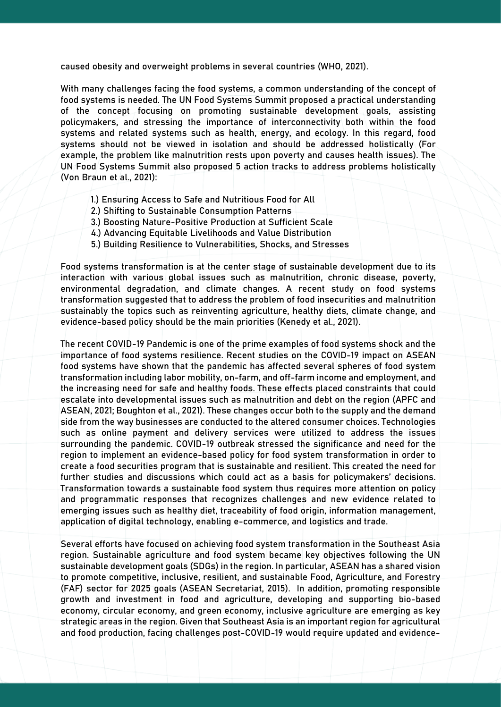caused obesity and overweight problems in several countries (WHO, 2021).

With many challenges facing the food systems, a common understanding of the concept of food systems is needed. The UN Food Systems Summit proposed a practical understanding of the concept focusing on promoting sustainable development goals, assisting policymakers, and stressing the importance of interconnectivity both within the food systems and related systems such as health, energy, and ecology. In this regard, food systems should not be viewed in isolation and should be addressed holistically (For example, the problem like malnutrition rests upon poverty and causes health issues). The UN Food Systems Summit also proposed 5 action tracks to address problems holistically (Von Braun et al., 2021):

- 1.) Ensuring Access to Safe and Nutritious Food for All
- 2.) Shifting to Sustainable Consumption Patterns
- 3.) Boosting Nature-Positive Production at Sufficient Scale
- 4.) Advancing Equitable Livelihoods and Value Distribution
- 5.) Building Resilience to Vulnerabilities, Shocks, and Stresses

Food systems transformation is at the center stage of sustainable development due to its interaction with various global issues such as malnutrition, chronic disease, poverty, environmental degradation, and climate changes. A recent study on food systems transformation suggested that to address the problem of food insecurities and malnutrition sustainably the topics such as reinventing agriculture, healthy diets, climate change, and evidence-based policy should be the main priorities (Kenedy et al., 2021).

The recent COVID-19 Pandemic is one of the prime examples of food systems shock and the importance of food systems resilience. Recent studies on the COVID-19 impact on ASEAN food systems have shown that the pandemic has affected several spheres of food system transformation including labor mobility, on-farm, and off-farm income and employment, and the increasing need for safe and healthy foods. These effects placed constraints that could escalate into developmental issues such as malnutrition and debt on the region (APFC and ASEAN, 2021; Boughton et al., 2021). These changes occur both to the supply and the demand side from the way businesses are conducted to the altered consumer choices. Technologies such as online payment and delivery services were utilized to address the issues surrounding the pandemic. COVID-19 outbreak stressed the significance and need for the region to implement an evidence-based policy for food system transformation in order to create a food securities program that is sustainable and resilient. This created the need for further studies and discussions which could act as a basis for policymakers' decisions. Transformation towards a sustainable food system thus requires more attention on policy and programmatic responses that recognizes challenges and new evidence related to emerging issues such as healthy diet, traceability of food origin, information management, application of digital technology, enabling e-commerce, and logistics and trade.

Several efforts have focused on achieving food system transformation in the Southeast Asia region. Sustainable agriculture and food system became key objectives following the UN sustainable development goals (SDGs) in the region. In particular, ASEAN has a shared vision to promote competitive, inclusive, resilient, and sustainable Food, Agriculture, and Forestry (FAF) sector for 2025 goals (ASEAN Secretariat, 2015). In addition, promoting responsible growth and investment in food and agriculture, developing and supporting bio-based economy, circular economy, and green economy, inclusive agriculture are emerging as key strategic areas in the region. Given that Southeast Asia is an important region for agricultural and food production, facing challenges post-COVID-19 would require updated and evidence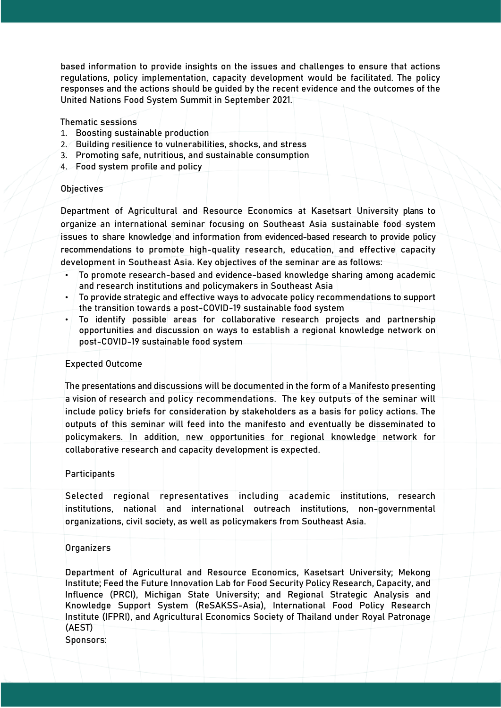based information to provide insights on the issues and challenges to ensure that actions regulations, policy implementation, capacity development would be facilitated. The policy responses and the actions should be guided by the recent evidence and the outcomes of the United Nations Food System Summit in September 2021.

Thematic sessions

- 1. Boosting sustainable production
- 2. Building resilience to vulnerabilities, shocks, and stress
- 3. Promoting safe, nutritious, and sustainable consumption
- 4. Food system profile and policy

### **Objectives**

Department of Agricultural and Resource Economics at Kasetsart University plans to organize an international seminar focusing on Southeast Asia sustainable food system issues to share knowledge and information from evidenced-based research to provide policy recommendations to promote high-quality research, education, and effective capacity development in Southeast Asia. Key objectives of the seminar are as follows:

- To promote research-based and evidence-based knowledge sharing among academic and research institutions and policymakers in Southeast Asia
- To provide strategic and effective ways to advocate policy recommendations to support the transition towards a post-COVID-19 sustainable food system
- To identify possible areas for collaborative research projects and partnership opportunities and discussion on ways to establish a regional knowledge network on post-COVID-19 sustainable food system

### Expected Outcome

The presentations and discussions will be documented in the form of a Manifesto presenting a vision of research and policy recommendations. The key outputs of the seminar will include policy briefs for consideration by stakeholders as a basis for policy actions. The outputs of this seminar will feed into the manifesto and eventually be disseminated to policymakers. In addition, new opportunities for regional knowledge network for collaborative research and capacity development is expected.

#### **Participants**

Selected regional representatives including academic institutions, research institutions, national and international outreach institutions, non-governmental organizations, civil society, as well as policymakers from Southeast Asia.

## **Organizers**

Department of Agricultural and Resource Economics, Kasetsart University; Mekong Institute; Feed the Future Innovation Lab for Food Security Policy Research, Capacity, and Influence (PRCI), Michigan State University; and Regional Strategic Analysis and Knowledge Support System (ReSAKSS-Asia), International Food Policy Research Institute (IFPRI), and Agricultural Economics Society of Thailand under Royal Patronage (AEST)

Sponsors: